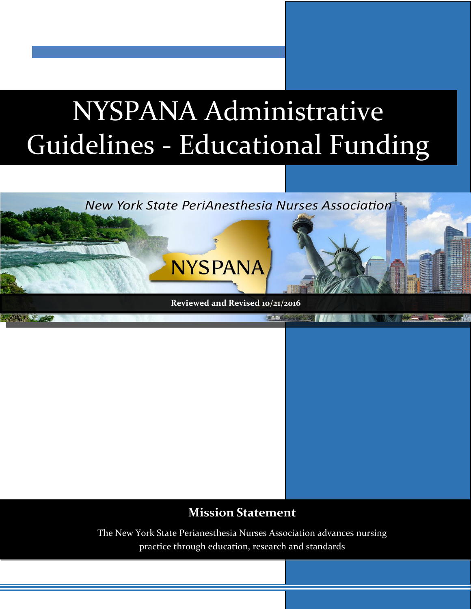# NYSPANA Administrative Guidelines - Educational Funding



# **Mission Statement**

The New York State Perianesthesia Nurses Association advances nursing practice through education, research and standards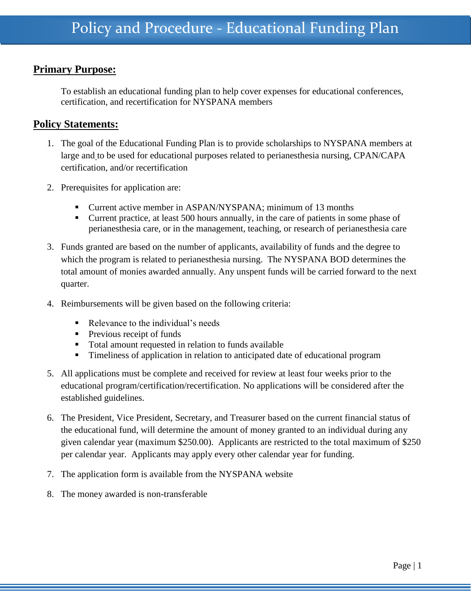## **Primary Purpose:**

To establish an educational funding plan to help cover expenses for educational conferences, certification, and recertification for NYSPANA members

### **Policy Statements:**

- 1. The goal of the Educational Funding Plan is to provide scholarships to NYSPANA members at large and to be used for educational purposes related to perianesthesia nursing, CPAN/CAPA certification, and/or recertification
- 2. Prerequisites for application are:
	- Current active member in ASPAN/NYSPANA; minimum of 13 months
	- Current practice, at least 500 hours annually, in the care of patients in some phase of perianesthesia care, or in the management, teaching, or research of perianesthesia care
- 3. Funds granted are based on the number of applicants, availability of funds and the degree to which the program is related to perianesthesia nursing. The NYSPANA BOD determines the total amount of monies awarded annually. Any unspent funds will be carried forward to the next quarter.
- 4. Reimbursements will be given based on the following criteria:
	- Relevance to the individual's needs
	- **Previous receipt of funds**
	- Total amount requested in relation to funds available
	- **Timeliness of application in relation to anticipated date of educational program**
- 5. All applications must be complete and received for review at least four weeks prior to the educational program/certification/recertification. No applications will be considered after the established guidelines.
- 6. The President, Vice President, Secretary, and Treasurer based on the current financial status of the educational fund, will determine the amount of money granted to an individual during any given calendar year (maximum \$250.00). Applicants are restricted to the total maximum of \$250 per calendar year. Applicants may apply every other calendar year for funding.
- 7. The application form is available from the NYSPANA website
- 8. The money awarded is non-transferable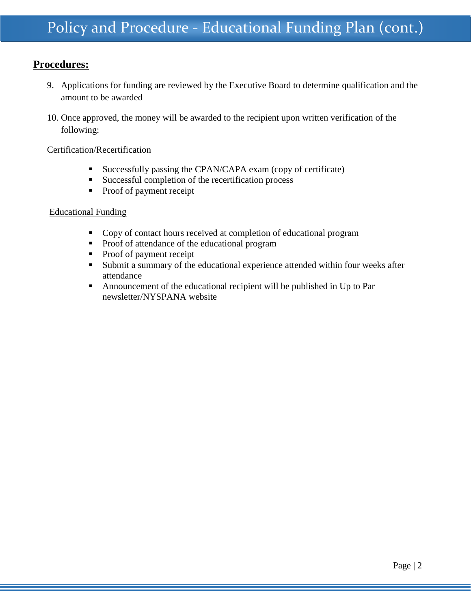## **Procedures:**

- 9. Applications for funding are reviewed by the Executive Board to determine qualification and the amount to be awarded
- 10. Once approved, the money will be awarded to the recipient upon written verification of the following:

#### Certification/Recertification

- Successfully passing the CPAN/CAPA exam (copy of certificate)
- **Successful completion of the recertification process**
- Proof of payment receipt

#### Educational Funding

- Copy of contact hours received at completion of educational program
- **Proof of attendance of the educational program**
- Proof of payment receipt
- Submit a summary of the educational experience attended within four weeks after attendance
- Announcement of the educational recipient will be published in Up to Par newsletter/NYSPANA website